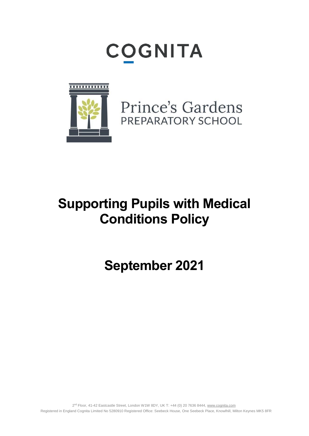# **COGNITA**



Prince's Gardens PREPARATORY SCHOOL

## **Supporting Pupils with Medical Conditions Policy**

**September 2021**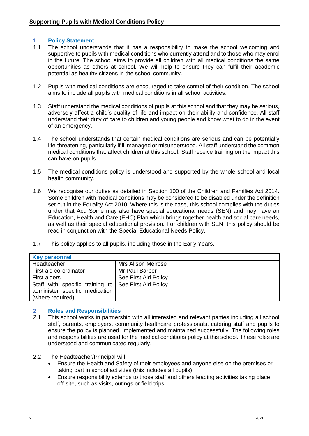#### **1 Policy Statement**

- 1.1 The school understands that it has a responsibility to make the school welcoming and supportive to pupils with medical conditions who currently attend and to those who may enrol in the future. The school aims to provide all children with all medical conditions the same opportunities as others at school. We will help to ensure they can fulfil their academic potential as healthy citizens in the school community.
- 1.2 Pupils with medical conditions are encouraged to take control of their condition. The school aims to include all pupils with medical conditions in all school activities.
- 1.3 Staff understand the medical conditions of pupils at this school and that they may be serious, adversely affect a child's quality of life and impact on their ability and confidence. All staff understand their duty of care to children and young people and know what to do in the event of an emergency.
- 1.4 The school understands that certain medical conditions are serious and can be potentially life-threatening, particularly if ill managed or misunderstood. All staff understand the common medical conditions that affect children at this school. Staff receive training on the impact this can have on pupils.
- 1.5 The medical conditions policy is understood and supported by the whole school and local health community.
- 1.6 We recognise our duties as detailed in Section 100 of the Children and Families Act 2014. Some children with medical conditions may be considered to be disabled under the definition set out in the Equality Act 2010. Where this is the case, this school complies with the duties under that Act. Some may also have special educational needs (SEN) and may have an Education, Health and Care (EHC) Plan which brings together health and social care needs, as well as their special educational provision. For children with SEN, this policy should be read in conjunction with the Special Educational Needs Policy.
- 1.7 This policy applies to all pupils, including those in the Early Years.

| <b>Key personnel</b>                                 |                           |  |
|------------------------------------------------------|---------------------------|--|
| Headteacher                                          | <b>Mrs Alison Melrose</b> |  |
| First aid co-ordinator                               | Mr Paul Barber            |  |
| First aiders                                         | See First Aid Policy      |  |
| Staff with specific training to See First Aid Policy |                           |  |
| administer specific medication                       |                           |  |
| (where required)                                     |                           |  |

#### **2 Roles and Responsibilities**

- 2.1 This school works in partnership with all interested and relevant parties including all school staff, parents, employers, community healthcare professionals, catering staff and pupils to ensure the policy is planned, implemented and maintained successfully. The following roles and responsibilities are used for the medical conditions policy at this school. These roles are understood and communicated regularly.
- 2.2 The Headteacher/Principal will:
	- Ensure the Health and Safety of their employees and anyone else on the premises or taking part in school activities (this includes all pupils).
	- Ensure responsibility extends to those staff and others leading activities taking place off-site, such as visits, outings or field trips.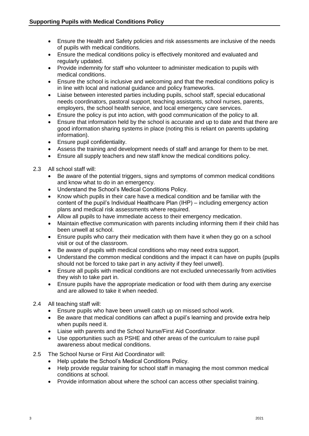- Ensure the Health and Safety policies and risk assessments are inclusive of the needs of pupils with medical conditions.
- Ensure the medical conditions policy is effectively monitored and evaluated and regularly updated.
- Provide indemnity for staff who volunteer to administer medication to pupils with medical conditions.
- Ensure the school is inclusive and welcoming and that the medical conditions policy is in line with local and national guidance and policy frameworks.
- Liaise between interested parties including pupils, school staff, special educational needs coordinators, pastoral support, teaching assistants, school nurses, parents, employers, the school health service, and local emergency care services.
- Ensure the policy is put into action, with good communication of the policy to all.
- Ensure that information held by the school is accurate and up to date and that there are good information sharing systems in place (noting this is reliant on parents updating information).
- Ensure pupil confidentiality.
- Assess the training and development needs of staff and arrange for them to be met.
- Ensure all supply teachers and new staff know the medical conditions policy.
- 2.3 All school staff will:
	- Be aware of the potential triggers, signs and symptoms of common medical conditions and know what to do in an emergency.
	- Understand the School's Medical Conditions Policy.
	- Know which pupils in their care have a medical condition and be familiar with the content of the pupil's Individual Healthcare Plan (IHP) – including emergency action plans and medical risk assessments where required.
	- Allow all pupils to have immediate access to their emergency medication.
	- Maintain effective communication with parents including informing them if their child has been unwell at school.
	- Ensure pupils who carry their medication with them have it when they go on a school visit or out of the classroom.
	- Be aware of pupils with medical conditions who may need extra support.
	- Understand the common medical conditions and the impact it can have on pupils (pupils should not be forced to take part in any activity if they feel unwell).
	- Ensure all pupils with medical conditions are not excluded unnecessarily from activities they wish to take part in.
	- Ensure pupils have the appropriate medication or food with them during any exercise and are allowed to take it when needed.
- 2.4 All teaching staff will:
	- Ensure pupils who have been unwell catch up on missed school work.
	- Be aware that medical conditions can affect a pupil's learning and provide extra help when pupils need it.
	- Liaise with parents and the School Nurse/First Aid Coordinator.
	- Use opportunities such as PSHE and other areas of the curriculum to raise pupil awareness about medical conditions.
- 2.5 The School Nurse or First Aid Coordinator will:
	- Help update the School's Medical Conditions Policy.
	- Help provide regular training for school staff in managing the most common medical conditions at school.
	- Provide information about where the school can access other specialist training.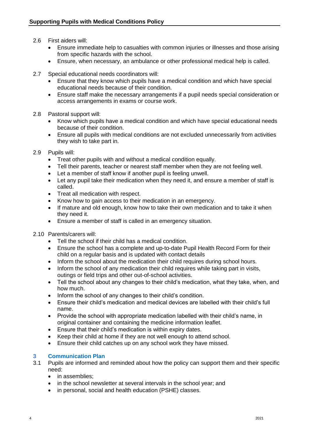- 2.6 First aiders will:
	- Ensure immediate help to casualties with common injuries or illnesses and those arising from specific hazards with the school.
	- Ensure, when necessary, an ambulance or other professional medical help is called.
- 2.7 Special educational needs coordinators will:
	- Ensure that they know which pupils have a medical condition and which have special educational needs because of their condition.
	- Ensure staff make the necessary arrangements if a pupil needs special consideration or access arrangements in exams or course work.
- 2.8 Pastoral support will:
	- Know which pupils have a medical condition and which have special educational needs because of their condition.
	- Ensure all pupils with medical conditions are not excluded unnecessarily from activities they wish to take part in.
- 2.9 Pupils will:
	- Treat other pupils with and without a medical condition equally.
	- Tell their parents, teacher or nearest staff member when they are not feeling well.
	- Let a member of staff know if another pupil is feeling unwell.
	- Let any pupil take their medication when they need it, and ensure a member of staff is called.
	- Treat all medication with respect.
	- Know how to gain access to their medication in an emergency.
	- If mature and old enough, know how to take their own medication and to take it when they need it.
	- Ensure a member of staff is called in an emergency situation.
- 2.10 Parents/carers will:
	- Tell the school if their child has a medical condition.
	- Ensure the school has a complete and up-to-date Pupil Health Record Form for their child on a regular basis and is updated with contact details
	- Inform the school about the medication their child requires during school hours.
	- Inform the school of any medication their child requires while taking part in visits, outings or field trips and other out-of-school activities.
	- Tell the school about any changes to their child's medication, what they take, when, and how much.
	- Inform the school of any changes to their child's condition.
	- Ensure their child's medication and medical devices are labelled with their child's full name.
	- Provide the school with appropriate medication labelled with their child's name, in original container and containing the medicine information leaflet.
	- Ensure that their child's medication is within expiry dates.
	- Keep their child at home if they are not well enough to attend school.
	- Ensure their child catches up on any school work they have missed.

#### **3 Communication Plan**

- 3.1 Pupils are informed and reminded about how the policy can support them and their specific need:
	- in assemblies:
	- in the school newsletter at several intervals in the school year; and
	- in personal, social and health education (PSHE) classes.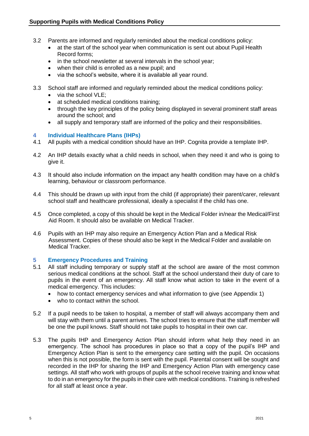- 3.2 Parents are informed and regularly reminded about the medical conditions policy:
	- at the start of the school year when communication is sent out about Pupil Health Record forms;
	- in the school newsletter at several intervals in the school year:
	- when their child is enrolled as a new pupil; and
	- via the school's website, where it is available all year round.
- 3.3 School staff are informed and regularly reminded about the medical conditions policy:
	- $\bullet$  via the school VI F;
	- at scheduled medical conditions training;
	- through the key principles of the policy being displayed in several prominent staff areas around the school; and
	- all supply and temporary staff are informed of the policy and their responsibilities.

#### **4 Individual Healthcare Plans (IHPs)**

- 4.1 All pupils with a medical condition should have an IHP. Cognita provide a template IHP.
- 4.2 An IHP details exactly what a child needs in school, when they need it and who is going to give it.
- 4.3 It should also include information on the impact any health condition may have on a child's learning, behaviour or classroom performance.
- 4.4 This should be drawn up with input from the child (if appropriate) their parent/carer, relevant school staff and healthcare professional, ideally a specialist if the child has one.
- 4.5 Once completed, a copy of this should be kept in the Medical Folder in/near the Medical/First Aid Room. It should also be available on Medical Tracker.
- 4.6 Pupils with an IHP may also require an Emergency Action Plan and a Medical Risk Assessment. Copies of these should also be kept in the Medical Folder and available on Medical Tracker.

#### **5 Emergency Procedures and Training**

- 5.1 All staff including temporary or supply staff at the school are aware of the most common serious medical conditions at the school. Staff at the school understand their duty of care to pupils in the event of an emergency. All staff know what action to take in the event of a medical emergency. This includes:
	- how to contact emergency services and what information to give (see Appendix 1)
	- who to contact within the school.
- 5.2 If a pupil needs to be taken to hospital, a member of staff will always accompany them and will stay with them until a parent arrives. The school tries to ensure that the staff member will be one the pupil knows. Staff should not take pupils to hospital in their own car.
- 5.3 The pupils IHP and Emergency Action Plan should inform what help they need in an emergency. The school has procedures in place so that a copy of the pupil's IHP and Emergency Action Plan is sent to the emergency care setting with the pupil. On occasions when this is not possible, the form is sent with the pupil. Parental consent will be sought and recorded in the IHP for sharing the IHP and Emergency Action Plan with emergency case settings. All staff who work with groups of pupils at the school receive training and know what to do in an emergency for the pupils in their care with medical conditions. Training is refreshed for all staff at least once a year.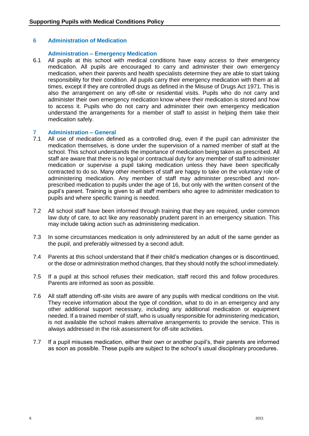#### **6 Administration of Medication**

#### **Administration – Emergency Medication**

6.1 All pupils at this school with medical conditions have easy access to their emergency medication. All pupils are encouraged to carry and administer their own emergency medication, when their parents and health specialists determine they are able to start taking responsibility for their condition. All pupils carry their emergency medication with them at all times, except if they are controlled drugs as defined in the Misuse of Drugs Act 1971. This is also the arrangement on any off-site or residential visits. Pupils who do not carry and administer their own emergency medication know where their medication is stored and how to access it. Pupils who do not carry and administer their own emergency medication understand the arrangements for a member of staff to assist in helping them take their medication safely.

#### **7 Administration – General**

- 7.1 All use of medication defined as a controlled drug, even if the pupil can administer the medication themselves, is done under the supervision of a named member of staff at the school. This school understands the importance of medication being taken as prescribed. All staff are aware that there is no legal or contractual duty for any member of staff to administer medication or supervise a pupil taking medication unless they have been specifically contracted to do so. Many other members of staff are happy to take on the voluntary role of administering medication. Any member of staff may administer prescribed and nonprescribed medication to pupils under the age of 16, but only with the written consent of the pupil's parent. Training is given to all staff members who agree to administer medication to pupils and where specific training is needed.
- 7.2 All school staff have been informed through training that they are required, under common law duty of care, to act like any reasonably prudent parent in an emergency situation. This may include taking action such as administering medication.
- 7.3 In some circumstances medication is only administered by an adult of the same gender as the pupil, and preferably witnessed by a second adult.
- 7.4 Parents at this school understand that if their child's medication changes or is discontinued, or the dose or administration method changes, that they should notify the school immediately.
- 7.5 If a pupil at this school refuses their medication, staff record this and follow procedures. Parents are informed as soon as possible.
- 7.6 All staff attending off-site visits are aware of any pupils with medical conditions on the visit. They receive information about the type of condition, what to do in an emergency and any other additional support necessary, including any additional medication or equipment needed. If a trained member of staff, who is usually responsible for administering medication, is not available the school makes alternative arrangements to provide the service. This is always addressed in the risk assessment for off-site activities.
- 7.7 If a pupil misuses medication, either their own or another pupil's, their parents are informed as soon as possible. These pupils are subject to the school's usual disciplinary procedures.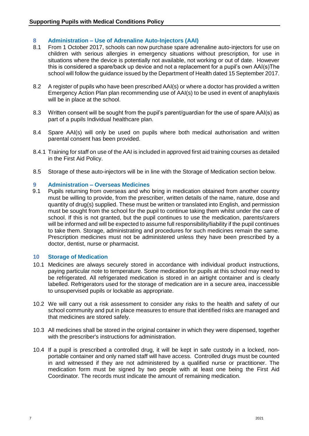#### **8 Administration – Use of Adrenaline Auto-Injectors (AAI)**

- 8.1 From 1 October 2017, schools can now purchase spare adrenaline auto-injectors for use on children with serious allergies in emergency situations without prescription, for use in situations where the device is potentially not available, not working or out of date. However this is considered a spare/back up device and not a replacement for a pupil's own AAI(s)The school will follow the guidance issued by the [Department of Health dated 15 September 2017.](https://www.gov.uk/government/uploads/system/uploads/attachment_data/file/645476/Adrenaline_auto_injectors_in_schools.pdf)
- 8.2 A register of pupils who have been prescribed AAI(s) or where a doctor has provided a written Emergency Action Plan plan recommending use of AAI(s) to be used in event of anaphylaxis will be in place at the school.
- 8.3 Written consent will be sought from the pupil's parent/guardian for the use of spare AAI(s) as part of a pupils Individual healthcare plan.
- 8.4 Spare AAI(s) will only be used on pupils where both medical authorisation and written parental consent has been provided.
- 8.4.1 Training for staff on use of the AAI is included in approved first aid training courses as detailed in the First Aid Policy.
- 8.5 Storage of these auto-injectors will be in line with the Storage of Medication section below.

#### **9 Administration – Overseas Medicines**

9.1 Pupils returning from overseas and who bring in medication obtained from another country must be willing to provide, from the prescriber, written details of the name, nature, dose and quantity of drug(s) supplied. These must be written or translated into English, and permission must be sought from the school for the pupil to continue taking them whilst under the care of school. If this is not granted, but the pupil continues to use the medication, parents/carers will be informed and will be expected to assume full responsibility/liability if the pupil continues to take them. Storage, administrating and procedures for such medicines remain the same. Prescription medicines must not be administered unless they have been prescribed by a doctor, dentist, nurse or pharmacist.

#### **10 Storage of Medication**

- 10.1 Medicines are always securely stored in accordance with individual product instructions, paying particular note to temperature. Some medication for pupils at this school may need to be refrigerated. All refrigerated medication is stored in an airtight container and is clearly labelled. Refrigerators used for the storage of medication are in a secure area, inaccessible to unsupervised pupils or lockable as appropriate.
- 10.2 We will carry out a risk assessment to consider any risks to the health and safety of our school community and put in place measures to ensure that identified risks are managed and that medicines are stored safely.
- 10.3 All medicines shall be stored in the original container in which they were dispensed, together with the prescriber's instructions for administration.
- 10.4 If a pupil is prescribed a controlled drug, it will be kept in safe custody in a locked, nonportable container and only named staff will have access. Controlled drugs must be counted in and witnessed if they are not administered by a qualified nurse or practitioner. The medication form must be signed by two people with at least one being the First Aid Coordinator. The records must indicate the amount of remaining medication.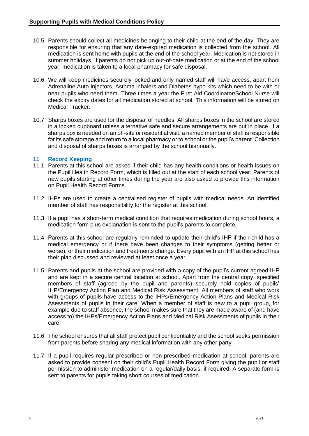- 10.5 Parents should collect all medicines belonging to their child at the end of the day. They are responsible for ensuring that any date-expired medication is collected from the school. All medication is sent home with pupils at the end of the school year. Medication is not stored in summer holidays. If parents do not pick up out-of-date medication or at the end of the school year, medication is taken to a local pharmacy for safe disposal.
- 10.6 We will keep medicines securely locked and only named staff will have access, apart from Adrenaline Auto-injectors, Asthma inhalers and Diabetes hypo kits which need to be with or near pupils who need them. Three times a year the First Aid Coordinator/School Nurse will check the expiry dates for all medication stored at school. This information will be stored on Medical Tracker.
- 10.7 Sharps boxes are used for the disposal of needles. All sharps boxes in the school are stored in a locked cupboard unless alternative safe and secure arrangements are put in place. If a sharps box is needed on an off-site or residential visit, a named member of staff is responsible for its safe storage and return to a local pharmacy or to school or the pupil's parent. Collection and disposal of sharps boxes is arranged by the school biannually.

#### **11 Record Keeping**

- 11.1 Parents at this school are asked if their child has any health conditions or health issues on the Pupil Health Record Form, which is filled out at the start of each school year. Parents of new pupils starting at other times during the year are also asked to provide this information on Pupil Health Record Forms.
- 11.2 IHPs are used to create a centralised register of pupils with medical needs. An identified member of staff has responsibility for the register at this school.
- 11.3 If a pupil has a short-term medical condition that requires medication during school hours, a medication form plus explanation is sent to the pupil's parents to complete.
- 11.4 Parents at this school are regularly reminded to update their child's IHP if their child has a medical emergency or if there have been changes to their symptoms (getting better or worse), or their medication and treatments change. Every pupil with an IHP at this school has their plan discussed and reviewed at least once a year.
- 11.5 Parents and pupils at the school are provided with a copy of the pupil's current agreed IHP and are kept in a secure central location at school. Apart from the central copy, specified members of staff (agreed by the pupil and parents) securely hold copies of pupils' IHP/Emergency Action Plan and Medical Risk Assessment. All members of staff who work with groups of pupils have access to the IHPs/Emergency Action Plans and Medical Risk Asessments of pupils in their care. When a member of staff is new to a pupil group, for example due to staff absence, the school makes sure that they are made aware of (and have access to) the IHPs/Emergency Action Plans and Medical Risk Asessments of pupils in their care.
- 11.6 The school ensures that all staff protect pupil confidentiality and the school seeks permission from parents before sharing any medical information with any other party.
- 11.7 If a pupil requires regular prescribed or non-prescribed medication at school, parents are asked to provide consent on their child's Pupil Health Record Form giving the pupil or staff permission to administer medication on a regular/daily basis, if required. A separate form is sent to parents for pupils taking short courses of medication.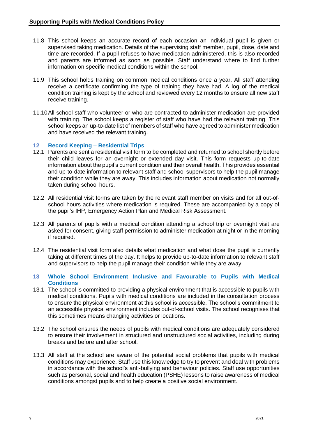- 11.8 This school keeps an accurate record of each occasion an individual pupil is given or supervised taking medication. Details of the supervising staff member, pupil, dose, date and time are recorded. If a pupil refuses to have medication administered, this is also recorded and parents are informed as soon as possible. Staff understand where to find further information on specific medical conditions within the school.
- 11.9 This school holds training on common medical conditions once a year. All staff attending receive a certificate confirming the type of training they have had. A log of the medical condition training is kept by the school and reviewed every 12 months to ensure all new staff receive training.
- 11.10All school staff who volunteer or who are contracted to administer medication are provided with training. The school keeps a register of staff who have had the relevant training. This school keeps an up-to-date list of members of staff who have agreed to administer medication and have received the relevant training.

#### **12 Record Keeping – Residential Trips**

- 12.1 Parents are sent a residential visit form to be completed and returned to school shortly before their child leaves for an overnight or extended day visit. This form requests up-to-date information about the pupil's current condition and their overall health. This provides essential and up-to-date information to relevant staff and school supervisors to help the pupil manage their condition while they are away. This includes information about medication not normally taken during school hours.
- 12.2 All residential visit forms are taken by the relevant staff member on visits and for all out-ofschool hours activities where medication is required. These are accompanied by a copy of the pupil's IHP, Emergency Action Plan and Medical Risk Assessment.
- 12.3 All parents of pupils with a medical condition attending a school trip or overnight visit are asked for consent, giving staff permission to administer medication at night or in the morning if required.
- 12.4 The residential visit form also details what medication and what dose the pupil is currently taking at different times of the day. It helps to provide up-to-date information to relevant staff and supervisors to help the pupil manage their condition while they are away.

#### **13 Whole School Environment Inclusive and Favourable to Pupils with Medical Conditions**

- 13.1 The school is committed to providing a physical environment that is accessible to pupils with medical conditions. Pupils with medical conditions are included in the consultation process to ensure the physical environment at this school is accessible. The school's commitment to an accessible physical environment includes out-of-school visits. The school recognises that this sometimes means changing activities or locations.
- 13.2 The school ensures the needs of pupils with medical conditions are adequately considered to ensure their involvement in structured and unstructured social activities, including during breaks and before and after school.
- 13.3 All staff at the school are aware of the potential social problems that pupils with medical conditions may experience. Staff use this knowledge to try to prevent and deal with problems in accordance with the school's anti-bullying and behaviour policies. Staff use opportunities such as personal, social and health education (PSHE) lessons to raise awareness of medical conditions amongst pupils and to help create a positive social environment.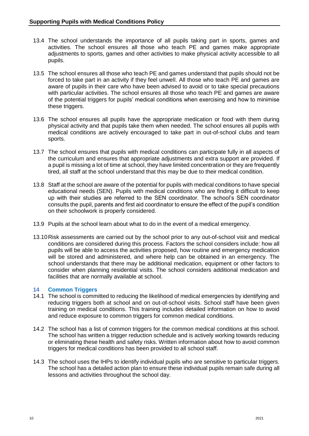- 13.4 The school understands the importance of all pupils taking part in sports, games and activities. The school ensures all those who teach PE and games make appropriate adjustments to sports, games and other activities to make physical activity accessible to all pupils.
- 13.5 The school ensures all those who teach PE and games understand that pupils should not be forced to take part in an activity if they feel unwell. All those who teach PE and games are aware of pupils in their care who have been advised to avoid or to take special precautions with particular activities. The school ensures all those who teach PE and games are aware of the potential triggers for pupils' medical conditions when exercising and how to minimise these triggers.
- 13.6 The school ensures all pupils have the appropriate medication or food with them during physical activity and that pupils take them when needed. The school ensures all pupils with medical conditions are actively encouraged to take part in out-of-school clubs and team sports.
- 13.7 The school ensures that pupils with medical conditions can participate fully in all aspects of the curriculum and ensures that appropriate adjustments and extra support are provided. If a pupil is missing a lot of time at school, they have limited concentration or they are frequently tired, all staff at the school understand that this may be due to their medical condition.
- 13.8 Staff at the school are aware of the potential for pupils with medical conditions to have special educational needs (SEN). Pupils with medical conditions who are finding it difficult to keep up with their studies are referred to the SEN coordinator. The school's SEN coordinator consults the pupil, parents and first aid coordinator to ensure the effect of the pupil's condition on their schoolwork is properly considered.
- 13.9 Pupils at the school learn about what to do in the event of a medical emergency.
- 13.10Risk assessments are carried out by the school prior to any out-of-school visit and medical conditions are considered during this process. Factors the school considers include: how all pupils will be able to access the activities proposed, how routine and emergency medication will be stored and administered, and where help can be obtained in an emergency. The school understands that there may be additional medication, equipment or other factors to consider when planning residential visits. The school considers additional medication and facilities that are normally available at school.

#### **14 Common Triggers**

- 14.1 The school is committed to reducing the likelihood of medical emergencies by identifying and reducing triggers both at school and on out-of-school visits. School staff have been given training on medical conditions. This training includes detailed information on how to avoid and reduce exposure to common triggers for common medical conditions.
- 14.2 The school has a list of common triggers for the common medical conditions at this school. The school has written a trigger reduction schedule and is actively working towards reducing or eliminating these health and safety risks. Written information about how to avoid common triggers for medical conditions has been provided to all school staff.
- 14.3 The school uses the IHPs to identify individual pupils who are sensitive to particular triggers. The school has a detailed action plan to ensure these individual pupils remain safe during all lessons and activities throughout the school day.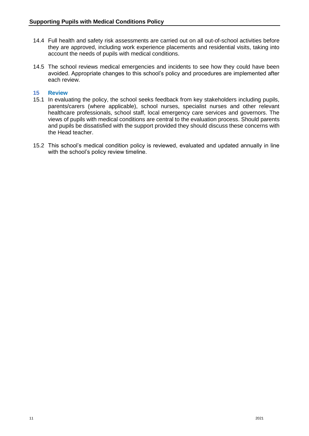- 14.4 Full health and safety risk assessments are carried out on all out-of-school activities before they are approved, including work experience placements and residential visits, taking into account the needs of pupils with medical conditions.
- 14.5 The school reviews medical emergencies and incidents to see how they could have been avoided. Appropriate changes to this school's policy and procedures are implemented after each review.

#### **15 Review**

- 15.1 In evaluating the policy, the school seeks feedback from key stakeholders including pupils, parents/carers (where applicable), school nurses, specialist nurses and other relevant healthcare professionals, school staff, local emergency care services and governors. The views of pupils with medical conditions are central to the evaluation process. Should parents and pupils be dissatisfied with the support provided they should discuss these concerns with the Head teacher.
- 15.2 This school's medical condition policy is reviewed, evaluated and updated annually in line with the school's policy review timeline.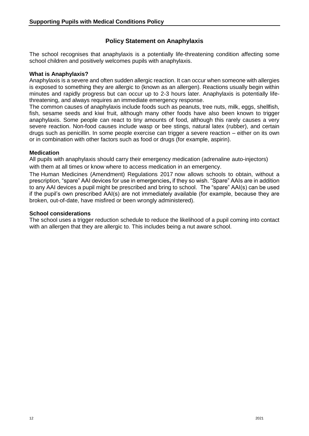#### **Policy Statement on Anaphylaxis**

The school recognises that anaphylaxis is a potentially life-threatening condition affecting some school children and positively welcomes pupils with anaphylaxis.

#### **What is Anaphylaxis?**

Anaphylaxis is a severe and often sudden allergic reaction. It can occur when someone with allergies is exposed to something they are allergic to (known as an allergen). Reactions usually begin within minutes and rapidly progress but can occur up to 2-3 hours later. Anaphylaxis is potentially lifethreatening, and always requires an immediate emergency response.

The common causes of anaphylaxis include foods such as peanuts, tree nuts, milk, eggs, shellfish, fish, sesame seeds and kiwi fruit, although many other foods have also been known to trigger anaphylaxis. Some people can react to tiny amounts of food, although this rarely causes a very severe reaction. Non-food causes include wasp or bee stings, natural latex (rubber), and certain drugs such as penicillin. In some people exercise can trigger a severe reaction – either on its own or in combination with other factors such as food or drugs (for example, aspirin).

#### **Medication**

All pupils with anaphylaxis should carry their emergency medication (adrenaline auto-injectors) with them at all times or know where to access medication in an emergency.

[The](http://www.legislation.gov.uk/uksi/2017/715/contents/made) [Human Medicines \(Amendment\) Regulations 2017](http://www.legislation.gov.uk/uksi/2017/715/contents/made) now allows schools to obtain, without a prescription, "spare" AAI devices for use in emergencies**,** if they so wish. "Spare" AAIs are in addition to any AAI devices a pupil might be prescribed and bring to school. The "spare" AAI(s) can be used if the pupil's own prescribed AAI(s) are not immediately available (for example, because they are broken, out-of-date, have misfired or been wrongly administered).

#### **School considerations**

The school uses a trigger reduction schedule to reduce the likelihood of a pupil coming into contact with an allergen that they are allergic to. This includes being a nut aware school.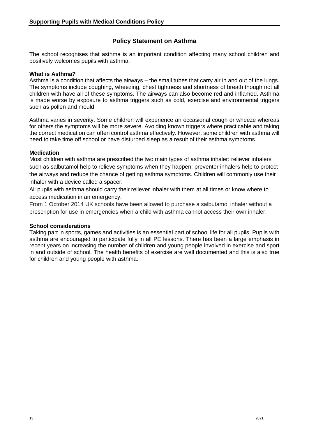#### **Policy Statement on Asthma**

The school recognises that asthma is an important condition affecting many school children and positively welcomes pupils with asthma.

#### **What is Asthma?**

Asthma is a condition that affects the airways – the small tubes that carry air in and out of the lungs. The symptoms include coughing, wheezing, chest tightness and shortness of breath though not all children with have all of these symptoms. The airways can also become red and inflamed. Asthma is made worse by exposure to asthma triggers such as cold, exercise and environmental triggers such as pollen and mould.

Asthma varies in severity. Some children will experience an occasional cough or wheeze whereas for others the symptoms will be more severe. Avoiding known triggers where practicable and taking the correct medication can often control asthma effectively. However, some children with asthma will need to take time off school or have disturbed sleep as a result of their asthma symptoms.

#### **Medication**

Most children with asthma are prescribed the two main types of asthma inhaler: reliever [inhalers](https://www.asthma.org.uk/advice/inhalers-medicines-treatments/inhalers-and-spacers/reliever/) such as salbutamol help to relieve symptoms when they happen; [preventer](https://www.asthma.org.uk/advice/inhalers-medicines-treatments/inhalers-and-spacers/preventer/) inhalers help to protect the airways and reduce the chance of getting asthma symptoms. Children will commonly use their inhaler with a device called a spacer.

All pupils with asthma should carry their reliever inhaler with them at all times or know where to access medication in an emergency.

From 1 October 2014 UK schools have been allowed to purchase a salbutamol inhaler without a prescription for use in emergencies when a child with asthma cannot access their own inhaler.

#### **School considerations**

Taking part in sports, games and activities is an essential part of school life for all pupils. Pupils with asthma are encouraged to participate fully in all PE lessons. There has been a large emphasis in recent years on increasing the number of children and young people involved in exercise and sport in and outside of school. The health benefits of exercise are well documented and this is also true for children and young people with asthma.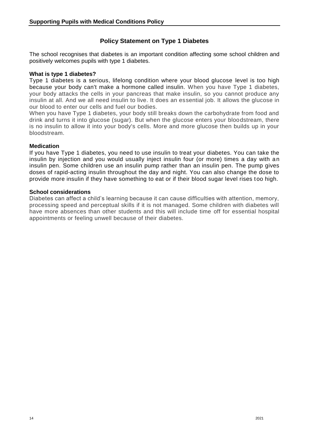#### **Policy Statement on Type 1 Diabetes**

The school recognises that diabetes is an important condition affecting some school children and positively welcomes pupils with type 1 diabetes.

#### **What is type 1 diabetes?**

Type 1 diabetes is a serious, lifelong condition where your blood glucose level is too high because your body can't make a hormone called insulin. When you have Type 1 diabetes, your body attacks the cells in your pancreas that make insulin, so you cannot produce any insulin at all. And we all need insulin to live. It does an essential job. It allows the glucose in our blood to enter our cells and fuel our bodies.

When you have Type 1 diabetes, your body still breaks down the carbohydrate from food and drink and turns it into glucose (sugar). But when the glucose enters your bloodstream, there is no insulin to allow it into your body's cells. More and more glucose then builds up in your bloodstream.

#### **Medication**

If you have [Type 1 diabetes,](https://www.diabetes.org.uk/diabetes-the-basics/diabetes-treatments#type1) you need to use [insulin](https://www.diabetes.org.uk/diabetes-the-basics/diabetes-treatments#insulin) to treat your diabetes. You can take the insulin by injection and you would usually inject insulin four (or more) times a day with an insulin pen. Some children use an [insulin pump](https://www.diabetes.org.uk/guide-to-diabetes/managing-your-diabetes/treating-your-diabetes/insulin-pumps) rather than an [insulin pen.](https://www.diabetes.org.uk/guide-to-diabetes/your-child-and-diabetes/insulin-and-your-child#Pen) The pump gives doses of rapid-acting insulin throughout the day and night. You can also change the dose to provide more insulin if they have something to eat or if their blood sugar level rises too high.

#### **School considerations**

Diabetes can affect a child's learning because it can cause difficulties with attention, memory, processing speed and perceptual skills if it is not managed. Some children with diabetes will have more absences than other students and this will include time off for essential hospital appointments or feeling unwell because of their diabetes.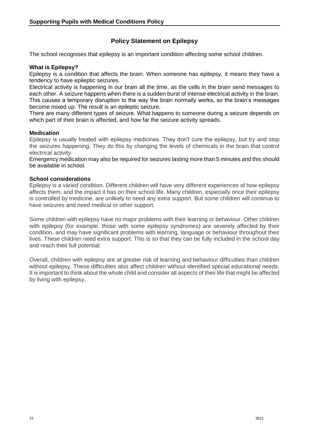#### **Policy Statement on Epilepsy**

The school recognises that epilepsy is an important condition affecting some school children.

#### **What is Epilepsy?**

Epilepsy is a condition that affects the brain. When someone has epilepsy, it means they have a tendency to have epileptic seizures.

Electrical activity is happening in our brain all the time, as the cells in the brain send messages to each other. A seizure happens when there is a sudden burst of intense electrical activity in the brain. This causes a temporary disruption to the way the brain normally works, so the brain's messages become mixed up. The result is an epileptic seizure.

There are many different types of seizure. What happens to someone during a seizure depends on which part of their brain is affected, and how far the seizure activity spreads.

#### **Medication**

Epilepsy is usually treated with epilepsy medicines. They don't cure the epilepsy, but try and stop the seizures happening. They do this by changing the levels of chemicals in the brain that control electrical activity.

Emergency medication may also be required for seizures lasting more than 5 minutes and this should be available in school.

#### **School considerations**

Epilepsy is a varied condition. Different children will have very different experiences of how epilepsy affects them, and the impact it has on their school life. Many children, especially once their epilepsy is controlled by medicine, are unlikely to need any extra support. But some children will continue to have seizures and need medical or other support.

Some children with epilepsy have no major problems with their learning or behaviour. Other children with epilepsy (for example, those with some epilepsy syndromes) are severely affected by their condition, and may have significant problems with learning, language or behaviour throughout their lives. These children need extra support. This is so that they can be fully included in the school day and reach their full potential.

Overall, children with epilepsy are at greater risk of learning and behaviour difficulties than children without epilepsy. These difficulties also affect children without identified special educational needs. It is important to think about the whole child and consider all aspects of their life that might be affected by living with epilepsy.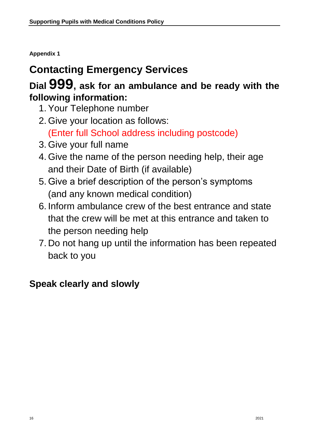**Appendix 1**

## **Contacting Emergency Services**

### **Dial 999, ask for an ambulance and be ready with the following information:**

- 1. Your Telephone number
- 2. Give your location as follows:

(Enter full School address including postcode)

- 3. Give your full name
- 4. Give the name of the person needing help, their age and their Date of Birth (if available)
- 5. Give a brief description of the person's symptoms (and any known medical condition)
- 6. Inform ambulance crew of the best entrance and state that the crew will be met at this entrance and taken to the person needing help
- 7. Do not hang up until the information has been repeated back to you

## **Speak clearly and slowly**